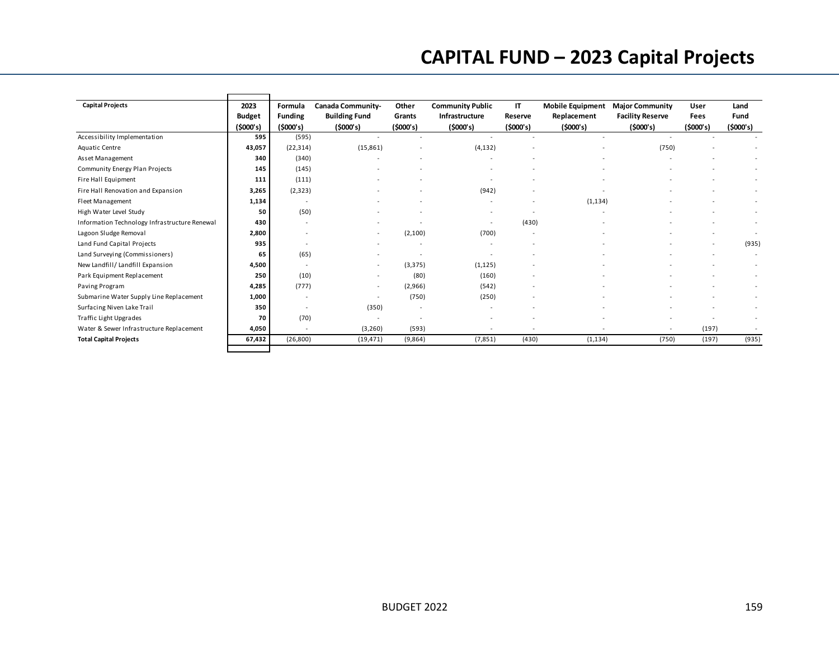## **CAPITAL FUND – 2023 Capital Projects**

| <b>Capital Projects</b>                       | 2023<br><b>Budget</b><br>(5000's) | Formula<br><b>Funding</b><br>(5000's) | Canada Community-<br><b>Building Fund</b><br>(5000's) | Other<br>Grants<br>(5000's) | <b>Community Public</b><br>Infrastructure<br>(5000's) | IT<br>Reserve<br>(5000's) | <b>Mobile Equipment</b><br>Replacement<br>(5000's) | <b>Major Community</b><br><b>Facility Reserve</b><br>(5000's) | User<br>Fees<br>(5000's) | Land<br>Fund<br>(5000's) |
|-----------------------------------------------|-----------------------------------|---------------------------------------|-------------------------------------------------------|-----------------------------|-------------------------------------------------------|---------------------------|----------------------------------------------------|---------------------------------------------------------------|--------------------------|--------------------------|
| Accessibility Implementation                  | 595                               | (595)                                 |                                                       |                             |                                                       |                           |                                                    |                                                               |                          |                          |
| Aquatic Centre                                | 43,057                            | (22, 314)                             | (15, 861)                                             |                             | (4, 132)                                              |                           |                                                    | (750)                                                         |                          |                          |
| Asset Management                              | 340                               | (340)                                 |                                                       |                             |                                                       |                           |                                                    |                                                               |                          |                          |
| Community Energy Plan Projects                | 145                               | (145)                                 |                                                       |                             |                                                       |                           |                                                    |                                                               |                          |                          |
| Fire Hall Equipment                           | 111                               | (111)                                 |                                                       |                             |                                                       |                           |                                                    |                                                               |                          |                          |
| Fire Hall Renovation and Expansion            | 3,265                             | (2, 323)                              |                                                       |                             | (942)                                                 |                           |                                                    |                                                               |                          |                          |
| Fleet Management                              | 1,134                             |                                       |                                                       |                             |                                                       |                           | (1, 134)                                           |                                                               |                          |                          |
| High Water Level Study                        | 50                                | (50)                                  |                                                       |                             |                                                       |                           |                                                    |                                                               |                          |                          |
| Information Technology Infrastructure Renewal | 430                               |                                       |                                                       |                             |                                                       | (430)                     |                                                    |                                                               |                          |                          |
| Lagoon Sludge Removal                         | 2,800                             |                                       | $\sim$                                                | (2,100)                     | (700)                                                 |                           |                                                    |                                                               |                          |                          |
| Land Fund Capital Projects                    | 935                               |                                       |                                                       |                             |                                                       |                           |                                                    |                                                               |                          | (935)                    |
| Land Surveying (Commissioners)                | 65                                | (65)                                  |                                                       |                             |                                                       |                           |                                                    |                                                               |                          |                          |
| New Landfill/ Landfill Expansion              | 4,500                             |                                       |                                                       | (3, 375)                    | (1, 125)                                              |                           |                                                    |                                                               |                          |                          |
| Park Equipment Replacement                    | 250                               | (10)                                  |                                                       | (80)                        | (160)                                                 |                           |                                                    |                                                               |                          |                          |
| Paving Program                                | 4,285                             | (777)                                 | ٠                                                     | (2,966)                     | (542)                                                 |                           |                                                    |                                                               |                          |                          |
| Submarine Water Supply Line Replacement       | 1,000                             |                                       |                                                       | (750)                       | (250)                                                 |                           |                                                    |                                                               |                          |                          |
| Surfacing Niven Lake Trail                    | 350                               |                                       | (350)                                                 | $\overline{\phantom{a}}$    |                                                       |                           |                                                    |                                                               |                          |                          |
| Traffic Light Upgrades                        | 70                                | (70)                                  |                                                       |                             |                                                       |                           |                                                    |                                                               |                          |                          |
| Water & Sewer Infrastructure Replacement      | 4,050                             |                                       | (3,260)                                               | (593)                       |                                                       |                           |                                                    |                                                               | (197)                    |                          |
| <b>Total Capital Projects</b>                 | 67,432                            | (26, 800)                             | (19, 471)                                             | (9,864)                     | (7, 851)                                              | (430)                     | (1, 134)                                           | (750)                                                         | (197)                    | (935)                    |
|                                               |                                   |                                       |                                                       |                             |                                                       |                           |                                                    |                                                               |                          |                          |